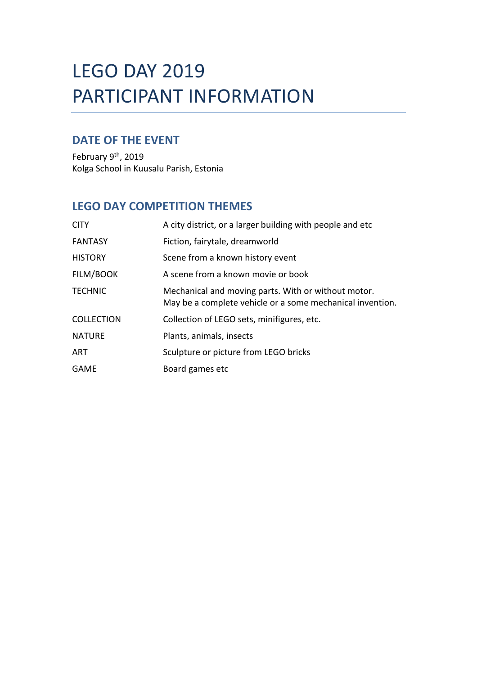## LEGO DAY 2019 PARTICIPANT INFORMATION

## **DATE OF THE EVENT**

February 9<sup>th</sup>, 2019 Kolga School in Kuusalu Parish, Estonia

## **LEGO DAY COMPETITION THEMES**

| <b>CITY</b>       | A city district, or a larger building with people and etc.                                                       |
|-------------------|------------------------------------------------------------------------------------------------------------------|
| <b>FANTASY</b>    | Fiction, fairytale, dreamworld                                                                                   |
| <b>HISTORY</b>    | Scene from a known history event                                                                                 |
| FILM/BOOK         | A scene from a known movie or book                                                                               |
| <b>TECHNIC</b>    | Mechanical and moving parts. With or without motor.<br>May be a complete vehicle or a some mechanical invention. |
| <b>COLLECTION</b> | Collection of LEGO sets, minifigures, etc.                                                                       |
| <b>NATURE</b>     | Plants, animals, insects                                                                                         |
| <b>ART</b>        | Sculpture or picture from LEGO bricks                                                                            |
| <b>GAME</b>       | Board games etc                                                                                                  |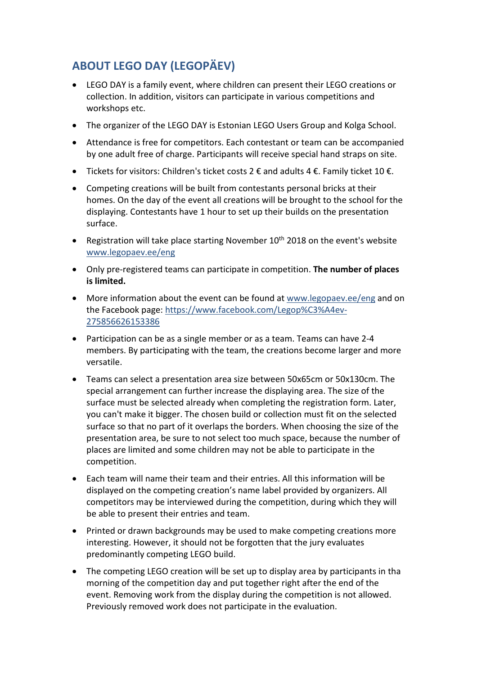## **ABOUT LEGO DAY (LEGOPÄEV)**

- LEGO DAY is a family event, where children can present their LEGO creations or collection. In addition, visitors can participate in various competitions and workshops etc.
- The organizer of the LEGO DAY is Estonian LEGO Users Group and Kolga School.
- Attendance is free for competitors. Each contestant or team can be accompanied by one adult free of charge. Participants will receive special hand straps on site.
- Tickets for visitors: Children's ticket costs 2  $\epsilon$  and adults 4  $\epsilon$ . Family ticket 10  $\epsilon$ .
- Competing creations will be built from contestants personal bricks at their homes. On the day of the event all creations will be brought to the school for the displaying. Contestants have 1 hour to set up their builds on the presentation surface.
- Registration will take place starting November  $10<sup>th</sup>$  2018 on the event's website [www.legopaev.ee/eng](http://www.legopaev.ee/eng)
- Only pre-registered teams can participate in competition. **The number of places is limited.**
- More information about the event can be found a[t www.legopaev.ee/eng](http://www.legopaev.ee/eng) and on the Facebook page: [https://www.facebook.com/Legop%C3%A4ev-](https://www.facebook.com/Legop%C3%A4ev-275856626153386)[275856626153386](https://www.facebook.com/Legop%C3%A4ev-275856626153386)
- Participation can be as a single member or as a team. Teams can have 2-4 members. By participating with the team, the creations become larger and more versatile.
- Teams can select a presentation area size between 50x65cm or 50x130cm. The special arrangement can further increase the displaying area. The size of the surface must be selected already when completing the registration form. Later, you can't make it bigger. The chosen build or collection must fit on the selected surface so that no part of it overlaps the borders. When choosing the size of the presentation area, be sure to not select too much space, because the number of places are limited and some children may not be able to participate in the competition.
- Each team will name their team and their entries. All this information will be displayed on the competing creation's name label provided by organizers. All competitors may be interviewed during the competition, during which they will be able to present their entries and team.
- Printed or drawn backgrounds may be used to make competing creations more interesting. However, it should not be forgotten that the jury evaluates predominantly competing LEGO build.
- The competing LEGO creation will be set up to display area by participants in tha morning of the competition day and put together right after the end of the event. Removing work from the display during the competition is not allowed. Previously removed work does not participate in the evaluation.